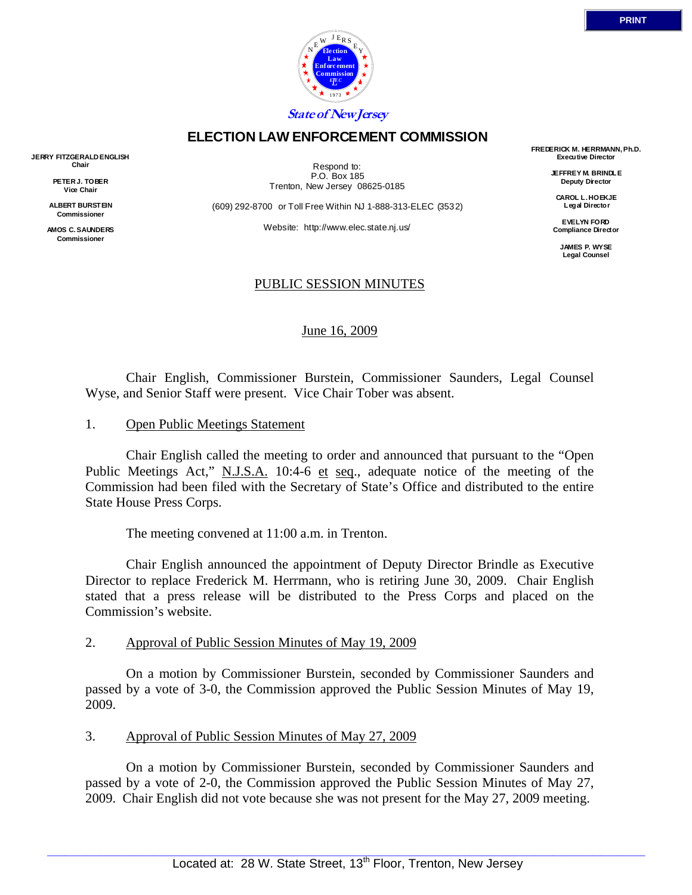

## **ELECTION LAW ENFORCEMENT COMMISSION**

**JERRY FITZGERALD ENGLISH Chair** 

> **PETER J. TOBER Vice Chair**

**ALBERT BURSTEIN Commissioner** 

**AMOS C. SAUNDERS Commissioner** 

Respond to: P.O. Box 185 Trenton, New Jersey 08625-0185

(609) 292-8700 or Toll Free Within NJ 1-888-313-ELEC (3532)

Website: http://www.elec.state.nj.us/

### PUBLIC SESSION MINUTES

June 16, 2009

 Chair English, Commissioner Burstein, Commissioner Saunders, Legal Counsel Wyse, and Senior Staff were present. Vice Chair Tober was absent.

#### 1. Open Public Meetings Statement

 Chair English called the meeting to order and announced that pursuant to the "Open Public Meetings Act," N.J.S.A. 10:4-6 et seq., adequate notice of the meeting of the Commission had been filed with the Secretary of State's Office and distributed to the entire State House Press Corps.

The meeting convened at 11:00 a.m. in Trenton.

 Chair English announced the appointment of Deputy Director Brindle as Executive Director to replace Frederick M. Herrmann, who is retiring June 30, 2009. Chair English stated that a press release will be distributed to the Press Corps and placed on the Commission's website.

#### 2. Approval of Public Session Minutes of May 19, 2009

 On a motion by Commissioner Burstein, seconded by Commissioner Saunders and passed by a vote of 3-0, the Commission approved the Public Session Minutes of May 19, 2009.

### 3. Approval of Public Session Minutes of May 27, 2009

 On a motion by Commissioner Burstein, seconded by Commissioner Saunders and passed by a vote of 2-0, the Commission approved the Public Session Minutes of May 27, 2009. Chair English did not vote because she was not present for the May 27, 2009 meeting.

**FREDERICK M. HERRMANN, Ph.D. Executive Director** 

> **JEFFREY M. BRINDLE Deputy Director**

**CAROL L. HOEKJE Legal Director** 

**EVELYN FORD Compliance Director** 

> **JAMES P. WYSE Legal Counsel**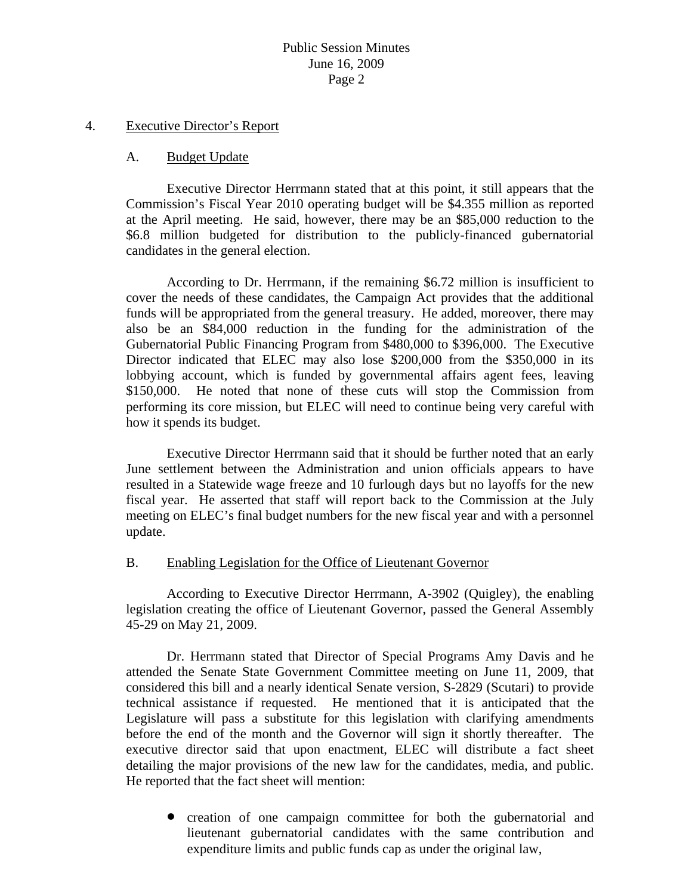#### 4. Executive Director's Report

#### A. Budget Update

 Executive Director Herrmann stated that at this point, it still appears that the Commission's Fiscal Year 2010 operating budget will be \$4.355 million as reported at the April meeting. He said, however, there may be an \$85,000 reduction to the \$6.8 million budgeted for distribution to the publicly-financed gubernatorial candidates in the general election.

 According to Dr. Herrmann, if the remaining \$6.72 million is insufficient to cover the needs of these candidates, the Campaign Act provides that the additional funds will be appropriated from the general treasury. He added, moreover, there may also be an \$84,000 reduction in the funding for the administration of the Gubernatorial Public Financing Program from \$480,000 to \$396,000. The Executive Director indicated that ELEC may also lose \$200,000 from the \$350,000 in its lobbying account, which is funded by governmental affairs agent fees, leaving \$150,000. He noted that none of these cuts will stop the Commission from performing its core mission, but ELEC will need to continue being very careful with how it spends its budget.

 Executive Director Herrmann said that it should be further noted that an early June settlement between the Administration and union officials appears to have resulted in a Statewide wage freeze and 10 furlough days but no layoffs for the new fiscal year. He asserted that staff will report back to the Commission at the July meeting on ELEC's final budget numbers for the new fiscal year and with a personnel update.

#### B. Enabling Legislation for the Office of Lieutenant Governor

 According to Executive Director Herrmann, A-3902 (Quigley), the enabling legislation creating the office of Lieutenant Governor, passed the General Assembly 45-29 on May 21, 2009.

 Dr. Herrmann stated that Director of Special Programs Amy Davis and he attended the Senate State Government Committee meeting on June 11, 2009, that considered this bill and a nearly identical Senate version, S-2829 (Scutari) to provide technical assistance if requested. He mentioned that it is anticipated that the Legislature will pass a substitute for this legislation with clarifying amendments before the end of the month and the Governor will sign it shortly thereafter. The executive director said that upon enactment, ELEC will distribute a fact sheet detailing the major provisions of the new law for the candidates, media, and public. He reported that the fact sheet will mention:

• creation of one campaign committee for both the gubernatorial and lieutenant gubernatorial candidates with the same contribution and expenditure limits and public funds cap as under the original law,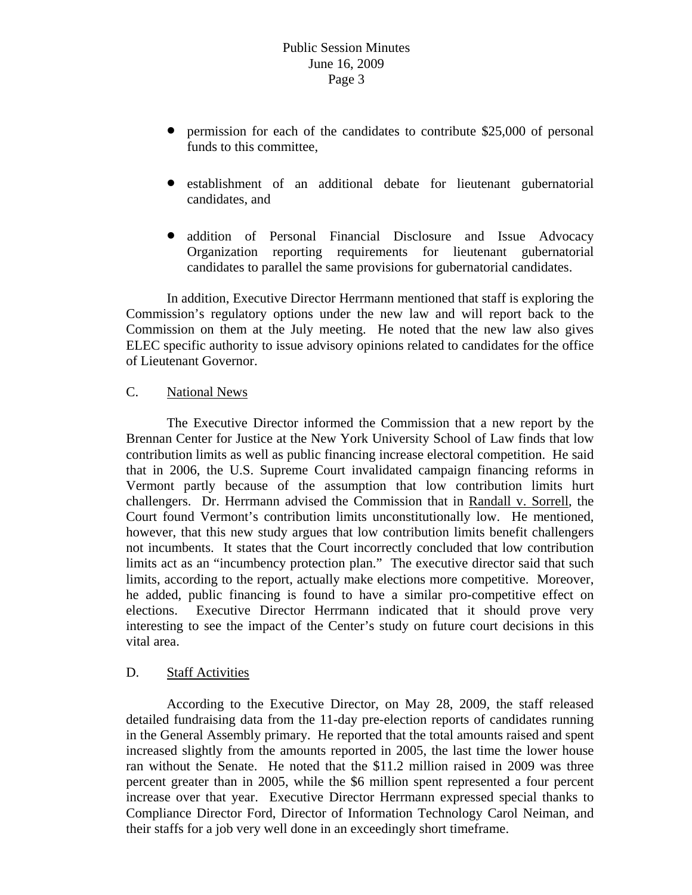- permission for each of the candidates to contribute \$25,000 of personal funds to this committee,
- establishment of an additional debate for lieutenant gubernatorial candidates, and
- addition of Personal Financial Disclosure and Issue Advocacy Organization reporting requirements for lieutenant gubernatorial candidates to parallel the same provisions for gubernatorial candidates.

 In addition, Executive Director Herrmann mentioned that staff is exploring the Commission's regulatory options under the new law and will report back to the Commission on them at the July meeting. He noted that the new law also gives ELEC specific authority to issue advisory opinions related to candidates for the office of Lieutenant Governor.

### C. National News

 The Executive Director informed the Commission that a new report by the Brennan Center for Justice at the New York University School of Law finds that low contribution limits as well as public financing increase electoral competition. He said that in 2006, the U.S. Supreme Court invalidated campaign financing reforms in Vermont partly because of the assumption that low contribution limits hurt challengers. Dr. Herrmann advised the Commission that in Randall v. Sorrell, the Court found Vermont's contribution limits unconstitutionally low. He mentioned, however, that this new study argues that low contribution limits benefit challengers not incumbents. It states that the Court incorrectly concluded that low contribution limits act as an "incumbency protection plan." The executive director said that such limits, according to the report, actually make elections more competitive. Moreover, he added, public financing is found to have a similar pro-competitive effect on elections. Executive Director Herrmann indicated that it should prove very interesting to see the impact of the Center's study on future court decisions in this vital area.

### D. Staff Activities

 According to the Executive Director, on May 28, 2009, the staff released detailed fundraising data from the 11-day pre-election reports of candidates running in the General Assembly primary. He reported that the total amounts raised and spent increased slightly from the amounts reported in 2005, the last time the lower house ran without the Senate. He noted that the \$11.2 million raised in 2009 was three percent greater than in 2005, while the \$6 million spent represented a four percent increase over that year. Executive Director Herrmann expressed special thanks to Compliance Director Ford, Director of Information Technology Carol Neiman, and their staffs for a job very well done in an exceedingly short timeframe.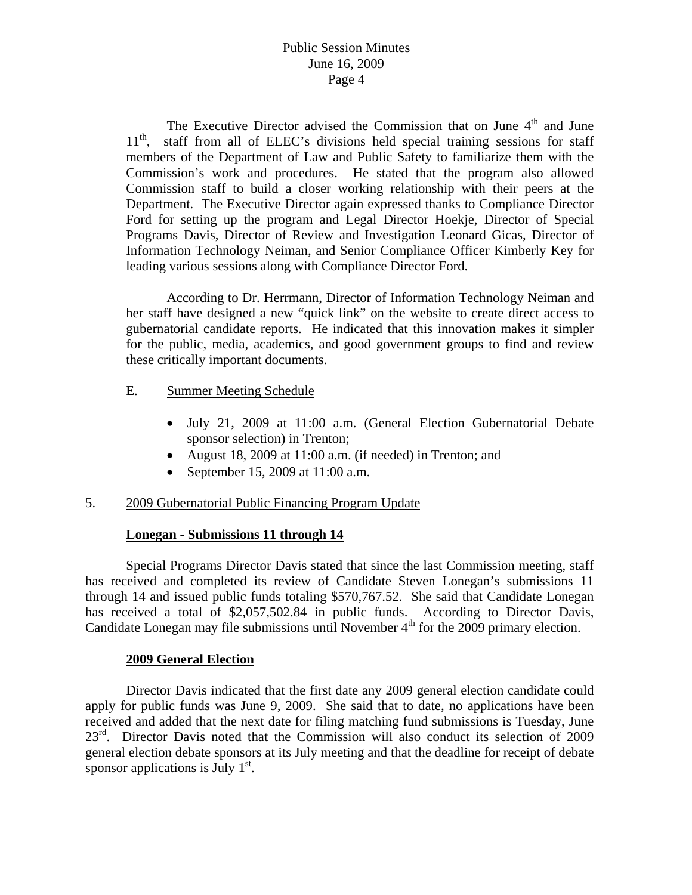The Executive Director advised the Commission that on June  $4<sup>th</sup>$  and June  $11<sup>th</sup>$ , staff from all of ELEC's divisions held special training sessions for staff staff from all of ELEC's divisions held special training sessions for staff members of the Department of Law and Public Safety to familiarize them with the Commission's work and procedures. He stated that the program also allowed Commission staff to build a closer working relationship with their peers at the Department. The Executive Director again expressed thanks to Compliance Director Ford for setting up the program and Legal Director Hoekje, Director of Special Programs Davis, Director of Review and Investigation Leonard Gicas, Director of Information Technology Neiman, and Senior Compliance Officer Kimberly Key for leading various sessions along with Compliance Director Ford.

 According to Dr. Herrmann, Director of Information Technology Neiman and her staff have designed a new "quick link" on the website to create direct access to gubernatorial candidate reports. He indicated that this innovation makes it simpler for the public, media, academics, and good government groups to find and review these critically important documents.

- E. Summer Meeting Schedule
	- July 21, 2009 at 11:00 a.m. (General Election Gubernatorial Debate sponsor selection) in Trenton;
	- August 18, 2009 at 11:00 a.m. (if needed) in Trenton; and
	- September 15, 2009 at 11:00 a.m.

### 5. 2009 Gubernatorial Public Financing Program Update

### **Lonegan - Submissions 11 through 14**

 Special Programs Director Davis stated that since the last Commission meeting, staff has received and completed its review of Candidate Steven Lonegan's submissions 11 through 14 and issued public funds totaling \$570,767.52. She said that Candidate Lonegan has received a total of \$2,057,502.84 in public funds. According to Director Davis, Candidate Lonegan may file submissions until November  $4<sup>th</sup>$  for the 2009 primary election.

### **2009 General Election**

 Director Davis indicated that the first date any 2009 general election candidate could apply for public funds was June 9, 2009. She said that to date, no applications have been received and added that the next date for filing matching fund submissions is Tuesday, June 23<sup>rd</sup>. Director Davis noted that the Commission will also conduct its selection of 2009 general election debate sponsors at its July meeting and that the deadline for receipt of debate sponsor applications is July  $1<sup>st</sup>$ .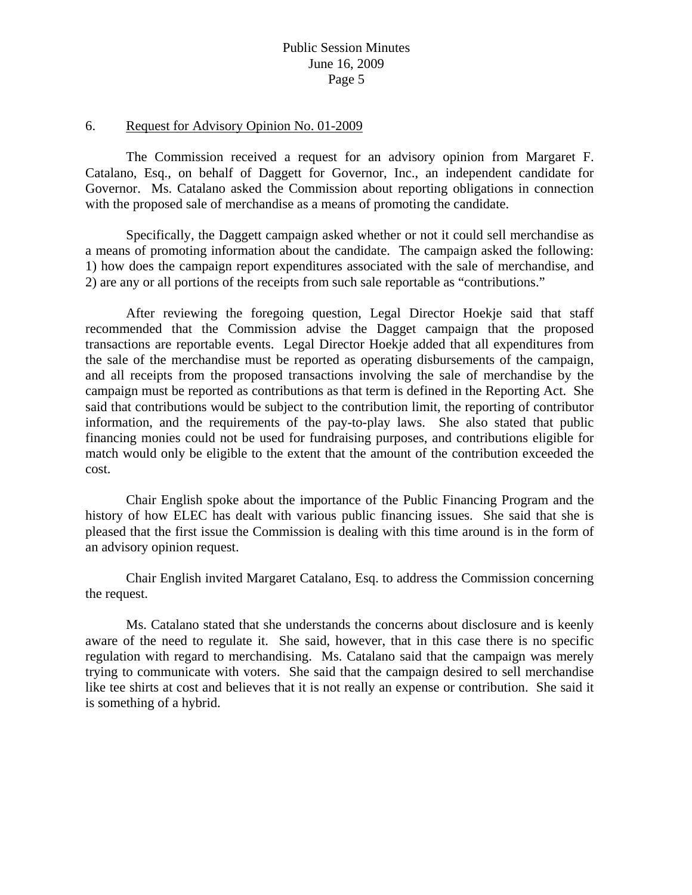#### 6. Request for Advisory Opinion No. 01-2009

 The Commission received a request for an advisory opinion from Margaret F. Catalano, Esq., on behalf of Daggett for Governor, Inc., an independent candidate for Governor. Ms. Catalano asked the Commission about reporting obligations in connection with the proposed sale of merchandise as a means of promoting the candidate.

 Specifically, the Daggett campaign asked whether or not it could sell merchandise as a means of promoting information about the candidate. The campaign asked the following: 1) how does the campaign report expenditures associated with the sale of merchandise, and 2) are any or all portions of the receipts from such sale reportable as "contributions."

 After reviewing the foregoing question, Legal Director Hoekje said that staff recommended that the Commission advise the Dagget campaign that the proposed transactions are reportable events. Legal Director Hoekje added that all expenditures from the sale of the merchandise must be reported as operating disbursements of the campaign, and all receipts from the proposed transactions involving the sale of merchandise by the campaign must be reported as contributions as that term is defined in the Reporting Act. She said that contributions would be subject to the contribution limit, the reporting of contributor information, and the requirements of the pay-to-play laws. She also stated that public financing monies could not be used for fundraising purposes, and contributions eligible for match would only be eligible to the extent that the amount of the contribution exceeded the cost.

 Chair English spoke about the importance of the Public Financing Program and the history of how ELEC has dealt with various public financing issues. She said that she is pleased that the first issue the Commission is dealing with this time around is in the form of an advisory opinion request.

 Chair English invited Margaret Catalano, Esq. to address the Commission concerning the request.

 Ms. Catalano stated that she understands the concerns about disclosure and is keenly aware of the need to regulate it. She said, however, that in this case there is no specific regulation with regard to merchandising. Ms. Catalano said that the campaign was merely trying to communicate with voters. She said that the campaign desired to sell merchandise like tee shirts at cost and believes that it is not really an expense or contribution. She said it is something of a hybrid.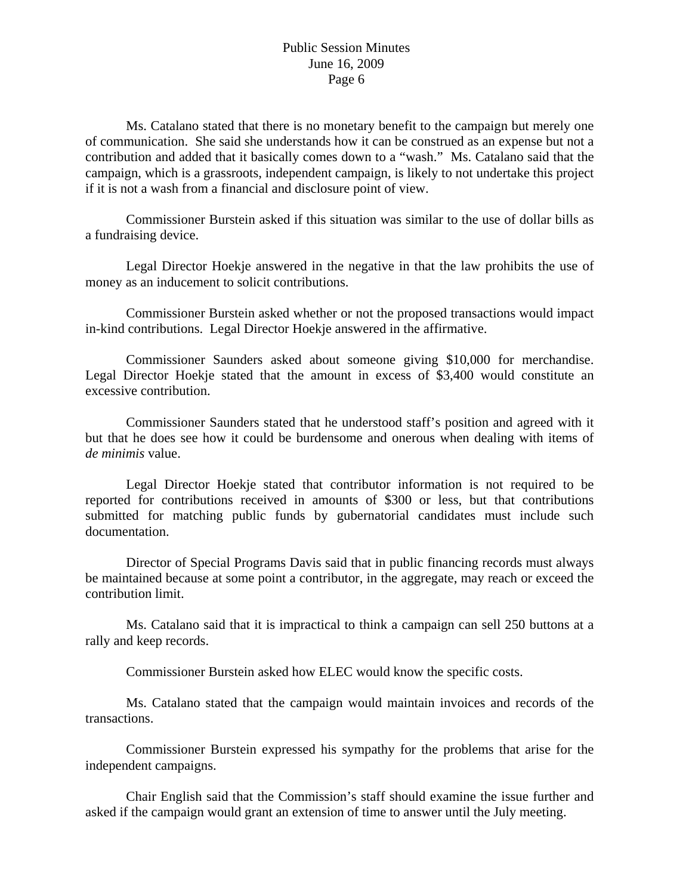Ms. Catalano stated that there is no monetary benefit to the campaign but merely one of communication. She said she understands how it can be construed as an expense but not a contribution and added that it basically comes down to a "wash." Ms. Catalano said that the campaign, which is a grassroots, independent campaign, is likely to not undertake this project if it is not a wash from a financial and disclosure point of view.

 Commissioner Burstein asked if this situation was similar to the use of dollar bills as a fundraising device.

 Legal Director Hoekje answered in the negative in that the law prohibits the use of money as an inducement to solicit contributions.

 Commissioner Burstein asked whether or not the proposed transactions would impact in-kind contributions. Legal Director Hoekje answered in the affirmative.

 Commissioner Saunders asked about someone giving \$10,000 for merchandise. Legal Director Hoekje stated that the amount in excess of \$3,400 would constitute an excessive contribution.

 Commissioner Saunders stated that he understood staff's position and agreed with it but that he does see how it could be burdensome and onerous when dealing with items of *de minimis* value.

 Legal Director Hoekje stated that contributor information is not required to be reported for contributions received in amounts of \$300 or less, but that contributions submitted for matching public funds by gubernatorial candidates must include such documentation.

 Director of Special Programs Davis said that in public financing records must always be maintained because at some point a contributor, in the aggregate, may reach or exceed the contribution limit.

 Ms. Catalano said that it is impractical to think a campaign can sell 250 buttons at a rally and keep records.

Commissioner Burstein asked how ELEC would know the specific costs.

 Ms. Catalano stated that the campaign would maintain invoices and records of the transactions.

 Commissioner Burstein expressed his sympathy for the problems that arise for the independent campaigns.

 Chair English said that the Commission's staff should examine the issue further and asked if the campaign would grant an extension of time to answer until the July meeting.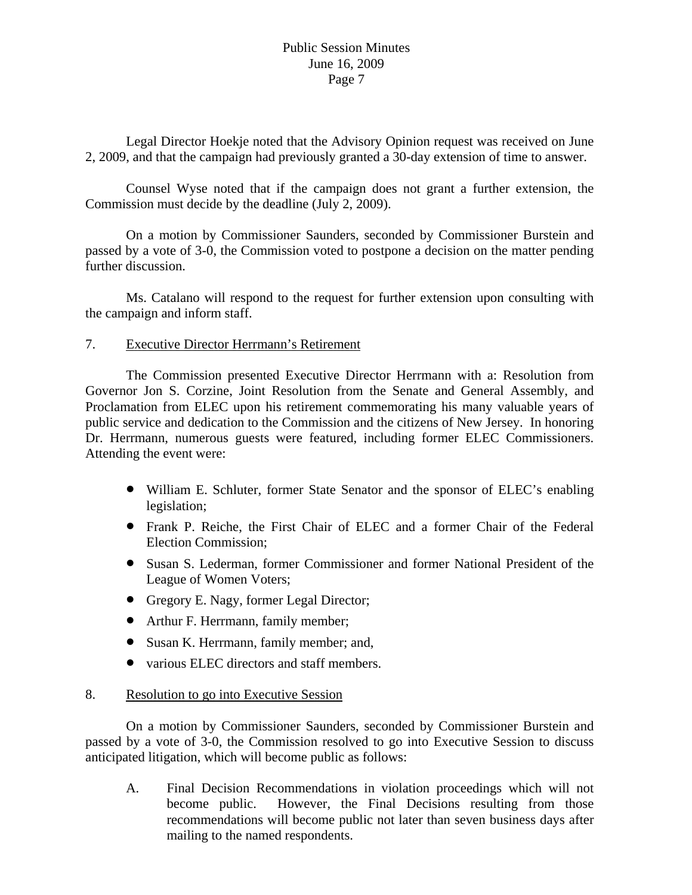Legal Director Hoekje noted that the Advisory Opinion request was received on June 2, 2009, and that the campaign had previously granted a 30-day extension of time to answer.

 Counsel Wyse noted that if the campaign does not grant a further extension, the Commission must decide by the deadline (July 2, 2009).

 On a motion by Commissioner Saunders, seconded by Commissioner Burstein and passed by a vote of 3-0, the Commission voted to postpone a decision on the matter pending further discussion.

 Ms. Catalano will respond to the request for further extension upon consulting with the campaign and inform staff.

# 7. Executive Director Herrmann's Retirement

 The Commission presented Executive Director Herrmann with a: Resolution from Governor Jon S. Corzine, Joint Resolution from the Senate and General Assembly, and Proclamation from ELEC upon his retirement commemorating his many valuable years of public service and dedication to the Commission and the citizens of New Jersey. In honoring Dr. Herrmann, numerous guests were featured, including former ELEC Commissioners. Attending the event were:

- William E. Schluter, former State Senator and the sponsor of ELEC's enabling legislation;
- Frank P. Reiche, the First Chair of ELEC and a former Chair of the Federal Election Commission;
- Susan S. Lederman, former Commissioner and former National President of the League of Women Voters;
- Gregory E. Nagy, former Legal Director;
- Arthur F. Herrmann, family member;
- Susan K. Herrmann, family member; and,
- various ELEC directors and staff members.

### 8. Resolution to go into Executive Session

 On a motion by Commissioner Saunders, seconded by Commissioner Burstein and passed by a vote of 3-0, the Commission resolved to go into Executive Session to discuss anticipated litigation, which will become public as follows:

A. Final Decision Recommendations in violation proceedings which will not become public. However, the Final Decisions resulting from those recommendations will become public not later than seven business days after mailing to the named respondents.